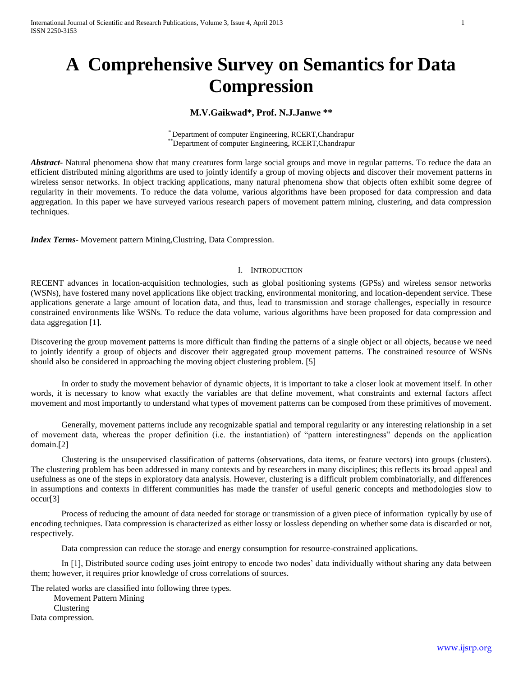# **A Comprehensive Survey on Semantics for Data Compression**

## **M.V.Gaikwad\*, Prof. N.J.Janwe \*\***

\* Department of computer Engineering, RCERT,Chandrapur \*\*Department of computer Engineering, RCERT,Chandrapur

*Abstract* • Natural phenomena show that many creatures form large social groups and move in regular patterns. To reduce the data an efficient distributed mining algorithms are used to jointly identify a group of moving objects and discover their movement patterns in wireless sensor networks. In object tracking applications, many natural phenomena show that objects often exhibit some degree of regularity in their movements. To reduce the data volume, various algorithms have been proposed for data compression and data aggregation. In this paper we have surveyed various research papers of movement pattern mining, clustering, and data compression techniques.

*Index Terms*- Movement pattern Mining,Clustring, Data Compression.

## I. INTRODUCTION

RECENT advances in location-acquisition technologies, such as global positioning systems (GPSs) and wireless sensor networks (WSNs), have fostered many novel applications like object tracking, environmental monitoring, and location-dependent service. These applications generate a large amount of location data, and thus, lead to transmission and storage challenges, especially in resource constrained environments like WSNs. To reduce the data volume, various algorithms have been proposed for data compression and data aggregation [1].

Discovering the group movement patterns is more difficult than finding the patterns of a single object or all objects, because we need to jointly identify a group of objects and discover their aggregated group movement patterns. The constrained resource of WSNs should also be considered in approaching the moving object clustering problem. [5]

In order to study the movement behavior of dynamic objects, it is important to take a closer look at movement itself. In other words, it is necessary to know what exactly the variables are that define movement, what constraints and external factors affect movement and most importantly to understand what types of movement patterns can be composed from these primitives of movement.

Generally, movement patterns include any recognizable spatial and temporal regularity or any interesting relationship in a set of movement data, whereas the proper definition (i.e. the instantiation) of "pattern interestingness" depends on the application domain.[2]

Clustering is the unsupervised classification of patterns (observations, data items, or feature vectors) into groups (clusters). The clustering problem has been addressed in many contexts and by researchers in many disciplines; this reflects its broad appeal and usefulness as one of the steps in exploratory data analysis. However, clustering is a difficult problem combinatorially, and differences in assumptions and contexts in different communities has made the transfer of useful generic concepts and methodologies slow to occur[3]

Process of reducing the amount of data needed for storage or transmission of a given piece of information typically by use of encoding techniques. Data compression is characterized as either lossy or lossless depending on whether some data is discarded or not, respectively.

Data compression can reduce the storage and energy consumption for resource-constrained applications.

In [1], Distributed source coding uses joint entropy to encode two nodes' data individually without sharing any data between them; however, it requires prior knowledge of cross correlations of sources.

The related works are classified into following three types.

Movement Pattern Mining Clustering

Data compression.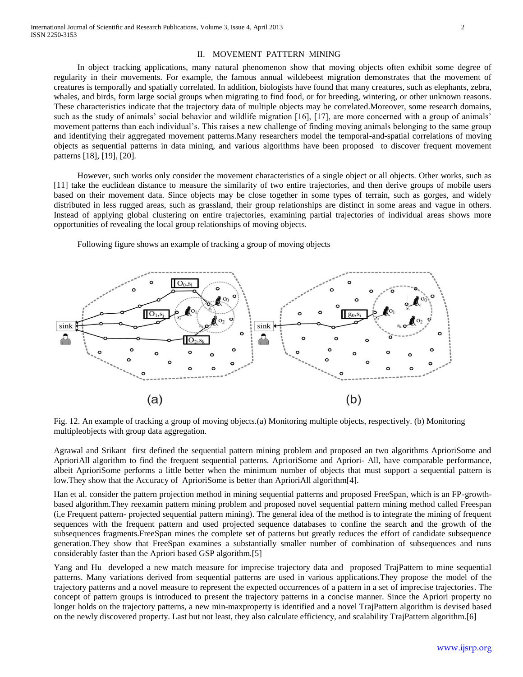#### II. MOVEMENT PATTERN MINING

 In object tracking applications, many natural phenomenon show that moving objects often exhibit some degree of regularity in their movements. For example, the famous annual wildebeest migration demonstrates that the movement of creatures is temporally and spatially correlated. In addition, biologists have found that many creatures, such as elephants, zebra, whales, and birds, form large social groups when migrating to find food, or for breeding, wintering, or other unknown reasons. These characteristics indicate that the trajectory data of multiple objects may be correlated.Moreover, some research domains, such as the study of animals' social behavior and wildlife migration [16], [17], are more concerned with a group of animals' movement patterns than each individual's. This raises a new challenge of finding moving animals belonging to the same group and identifying their aggregated movement patterns.Many researchers model the temporal-and-spatial correlations of moving objects as sequential patterns in data mining, and various algorithms have been proposed to discover frequent movement patterns [18], [19], [20].

 However, such works only consider the movement characteristics of a single object or all objects. Other works, such as [11] take the euclidean distance to measure the similarity of two entire trajectories, and then derive groups of mobile users based on their movement data. Since objects may be close together in some types of terrain, such as gorges, and widely distributed in less rugged areas, such as grassland, their group relationships are distinct in some areas and vague in others. Instead of applying global clustering on entire trajectories, examining partial trajectories of individual areas shows more opportunities of revealing the local group relationships of moving objects.

 $\overline{O_0, S_i}$  $O<sub>1.5</sub>$ sink sink  $\mathbb{C}$  $\circ$  $\Omega$  $\circ$ o o  $(a)$  $(b)$ 

Following figure shows an example of tracking a group of moving objects

Fig. 12. An example of tracking a group of moving objects.(a) Monitoring multiple objects, respectively. (b) Monitoring multipleobjects with group data aggregation.

Agrawal and Srikant first defined the sequential pattern mining problem and proposed an two algorithms AprioriSome and AprioriAll algorithm to find the frequent sequential patterns. AprioriSome and Apriori- All, have comparable performance, albeit AprioriSome performs a little better when the minimum number of objects that must support a sequential pattern is low.They show that the Accuracy of AprioriSome is better than AprioriAll algorithm[4].

Han et al. consider the pattern projection method in mining sequential patterns and proposed FreeSpan, which is an FP-growthbased algorithm.They reexamin pattern mining problem and proposed novel sequential pattern mining method called Freespan (i,e Frequent pattern- projected sequential pattern mining). The general idea of the method is to integrate the mining of frequent sequences with the frequent pattern and used projected sequence databases to confine the search and the growth of the subsequences fragments.FreeSpan mines the complete set of patterns but greatly reduces the effort of candidate subsequence generation.They show that FreeSpan examines a substantially smaller number of combination of subsequences and runs considerably faster than the Apriori based GSP algorithm.[5]

Yang and Hu developed a new match measure for imprecise trajectory data and proposed TrajPattern to mine sequential patterns. Many variations derived from sequential patterns are used in various applications.They propose the model of the trajectory patterns and a novel measure to represent the expected occurrences of a pattern in a set of imprecise trajectories. The concept of pattern groups is introduced to present the trajectory patterns in a concise manner. Since the Apriori property no longer holds on the trajectory patterns, a new min-maxproperty is identified and a novel TrajPattern algorithm is devised based on the newly discovered property. Last but not least, they also calculate efficiency, and scalability TrajPattern algorithm.[6]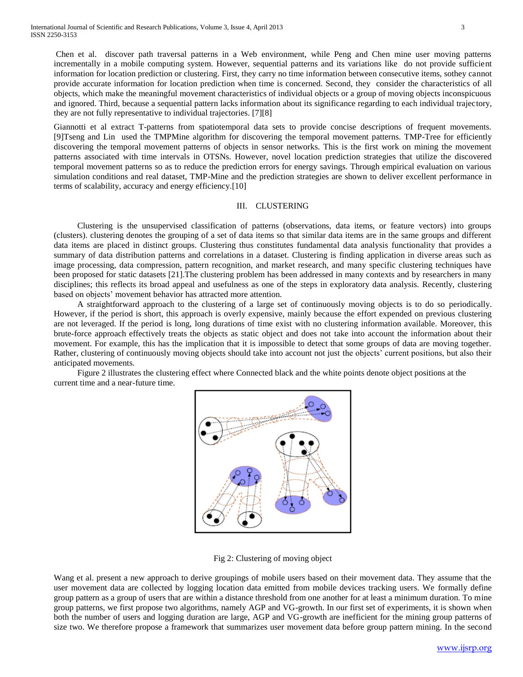Chen et al. discover path traversal patterns in a Web environment, while Peng and Chen mine user moving patterns incrementally in a mobile computing system. However, sequential patterns and its variations like do not provide sufficient information for location prediction or clustering. First, they carry no time information between consecutive items, sothey cannot provide accurate information for location prediction when time is concerned. Second, they consider the characteristics of all objects, which make the meaningful movement characteristics of individual objects or a group of moving objects inconspicuous and ignored. Third, because a sequential pattern lacks information about its significance regarding to each individual trajectory, they are not fully representative to individual trajectories. [7][8]

Giannotti et al extract T-patterns from spatiotemporal data sets to provide concise descriptions of frequent movements. [9]Tseng and Lin used the TMPMine algorithm for discovering the temporal movement patterns. TMP-Tree for efficiently discovering the temporal movement patterns of objects in sensor networks. This is the first work on mining the movement patterns associated with time intervals in OTSNs. However, novel location prediction strategies that utilize the discovered temporal movement patterns so as to reduce the prediction errors for energy savings. Through empirical evaluation on various simulation conditions and real dataset, TMP-Mine and the prediction strategies are shown to deliver excellent performance in terms of scalability, accuracy and energy efficiency.[10]

#### III. CLUSTERING

 Clustering is the unsupervised classification of patterns (observations, data items, or feature vectors) into groups (clusters). clustering denotes the grouping of a set of data items so that similar data items are in the same groups and different data items are placed in distinct groups. Clustering thus constitutes fundamental data analysis functionality that provides a summary of data distribution patterns and correlations in a dataset. Clustering is finding application in diverse areas such as image processing, data compression, pattern recognition, and market research, and many specific clustering techniques have been proposed for static datasets [21].The clustering problem has been addressed in many contexts and by researchers in many disciplines; this reflects its broad appeal and usefulness as one of the steps in exploratory data analysis. Recently, clustering based on objects' movement behavior has attracted more attention.

 A straightforward approach to the clustering of a large set of continuously moving objects is to do so periodically. However, if the period is short, this approach is overly expensive, mainly because the effort expended on previous clustering are not leveraged. If the period is long, long durations of time exist with no clustering information available. Moreover, this brute-force approach effectively treats the objects as static object and does not take into account the information about their movement. For example, this has the implication that it is impossible to detect that some groups of data are moving together. Rather, clustering of continuously moving objects should take into account not just the objects' current positions, but also their anticipated movements.

 Figure 2 illustrates the clustering effect where Connected black and the white points denote object positions at the current time and a near-future time.



Fig 2: Clustering of moving object

Wang et al. present a new approach to derive groupings of mobile users based on their movement data. They assume that the user movement data are collected by logging location data emitted from mobile devices tracking users. We formally define group pattern as a group of users that are within a distance threshold from one another for at least a minimum duration. To mine group patterns, we first propose two algorithms, namely AGP and VG-growth. In our first set of experiments, it is shown when both the number of users and logging duration are large, AGP and VG-growth are inefficient for the mining group patterns of size two. We therefore propose a framework that summarizes user movement data before group pattern mining. In the second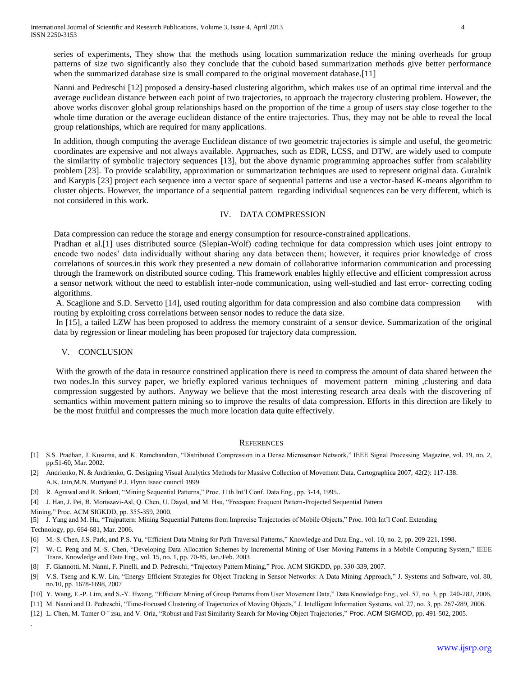series of experiments, They show that the methods using location summarization reduce the mining overheads for group patterns of size two significantly also they conclude that the cuboid based summarization methods give better performance when the summarized database size is small compared to the original movement database.[11]

Nanni and Pedreschi [12] proposed a density-based clustering algorithm, which makes use of an optimal time interval and the average euclidean distance between each point of two trajectories, to approach the trajectory clustering problem. However, the above works discover global group relationships based on the proportion of the time a group of users stay close together to the whole time duration or the average euclidean distance of the entire trajectories. Thus, they may not be able to reveal the local group relationships, which are required for many applications.

In addition, though computing the average Euclidean distance of two geometric trajectories is simple and useful, the geometric coordinates are expensive and not always available. Approaches, such as EDR, LCSS, and DTW, are widely used to compute the similarity of symbolic trajectory sequences [13], but the above dynamic programming approaches suffer from scalability problem [23]. To provide scalability, approximation or summarization techniques are used to represent original data. Guralnik and Karypis [23] project each sequence into a vector space of sequential patterns and use a vector-based K-means algorithm to cluster objects. However, the importance of a sequential pattern regarding individual sequences can be very different, which is not considered in this work.

## IV. DATA COMPRESSION

Data compression can reduce the storage and energy consumption for resource-constrained applications.

Pradhan et al.[1] uses distributed source (Slepian-Wolf) coding technique for data compression which uses joint entropy to encode two nodes' data individually without sharing any data between them; however, it requires prior knowledge of cross correlations of sources.in this work they presented a new domain of collaborative information communication and processing through the framework on distributed source coding. This framework enables highly effective and efficient compression across a sensor network without the need to establish inter-node communication, using well-studied and fast error- correcting coding algorithms.

A. Scaglione and S.D. Servetto [14], used routing algorithm for data compression and also combine data compression with routing by exploiting cross correlations between sensor nodes to reduce the data size.

In [15], a tailed LZW has been proposed to address the memory constraint of a sensor device. Summarization of the original data by regression or linear modeling has been proposed for trajectory data compression.

## V. CONCLUSION

With the growth of the data in resource constrined application there is need to compress the amount of data shared between the two nodes.In this survey paper, we briefly explored various techniques of movement pattern mining ,clustering and data compression suggested by authors. Anyway we believe that the most interesting research area deals with the discovering of semantics within movement pattern mining so to improve the results of data compression. Efforts in this direction are likely to be the most fruitful and compresses the much more location data quite effectively.

#### **REFERENCES**

- [1] S.S. Pradhan, J. Kusuma, and K. Ramchandran, "Distributed Compression in a Dense Microsensor Network," IEEE Signal Processing Magazine, vol. 19, no. 2, pp:51-60, Mar. 2002.
- [2] Andrienko, N. & Andrienko, G. Designing Visual Analytics Methods for Massive Collection of Movement Data. Cartographica 2007, 42(2): 117-138. A.K. Jain,M.N. Murtyand P.J. Flynn Isaac council 1999
- [3] R. Agrawal and R. Srikant, "Mining Sequential Patterns," Proc. 11th Int'l Conf. Data Eng., pp. 3-14, 1995..
- [4] J. Han, J. Pei, B. Mortazavi-Asl, Q. Chen, U. Dayal, and M. Hsu, "Freespan: Frequent Pattern-Projected Sequential Pattern
- Mining," Proc. ACM SIGKDD, pp. 355-359, 2000.

.

[5] J. Yang and M. Hu, "Trajpattern: Mining Sequential Patterns from Imprecise Trajectories of Mobile Objects," Proc. 10th Int'l Conf. Extending Technology, pp. 664-681, Mar. 2006.

- [6] M.-S. Chen, J.S. Park, and P.S. Yu, "Efficient Data Mining for Path Traversal Patterns," Knowledge and Data Eng., vol. 10, no. 2, pp. 209-221, 1998.
- [7] W.-C. Peng and M.-S. Chen, "Developing Data Allocation Schemes by Incremental Mining of User Moving Patterns in a Mobile Computing System," IEEE Trans. Knowledge and Data Eng., vol. 15, no. 1, pp. 70-85, Jan./Feb. 2003
- [8] F. Giannotti, M. Nanni, F. Pinelli, and D. Pedreschi, "Trajectory Pattern Mining," Proc. ACM SIGKDD, pp. 330-339, 2007.
- [9] V.S. Tseng and K.W. Lin, "Energy Efficient Strategies for Object Tracking in Sensor Networks: A Data Mining Approach," J. Systems and Software, vol. 80, no.10, pp. 1678-1698, 2007
- [10] Y. Wang, E.-P. Lim, and S.-Y. Hwang, "Efficient Mining of Group Patterns from User Movement Data," Data Knowledge Eng., vol. 57, no. 3, pp. 240-282, 2006.
- [11] M. Nanni and D. Pedreschi, "Time-Focused Clustering of Trajectories of Moving Objects," J. Intelligent Information Systems, vol. 27, no. 3, pp. 267-289, 2006.
- [12] L. Chen, M. Tamer O ¨ zsu, and V. Oria, "Robust and Fast Similarity Search for Moving Object Trajectories," Proc. ACM SIGMOD, pp. 491-502, 2005.